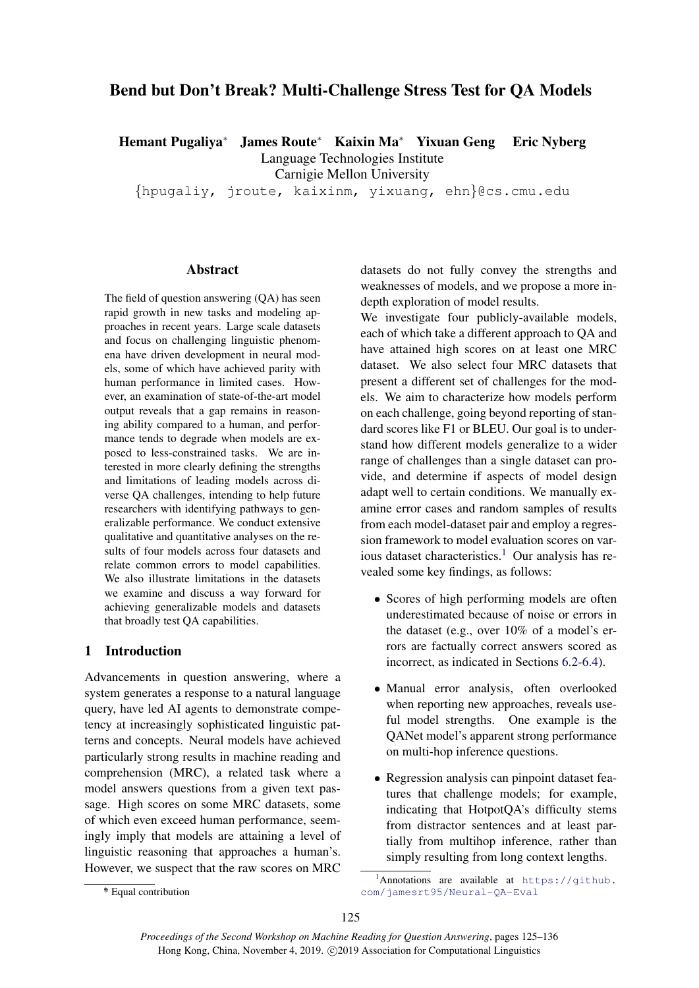# Bend but Don't Break? Multi-Challenge Stress Test for QA Models

Hemant Pugaliya<sup>∗</sup> James Route<sup>∗</sup> Kaixin Ma<sup>∗</sup> Yixuan Geng Eric Nyberg Language Technologies Institute Carnigie Mellon University

{hpugaliy, jroute, kaixinm, yixuang, ehn}@cs.cmu.edu

### **Abstract**

The field of question answering (QA) has seen rapid growth in new tasks and modeling approaches in recent years. Large scale datasets and focus on challenging linguistic phenomena have driven development in neural models, some of which have achieved parity with human performance in limited cases. However, an examination of state-of-the-art model output reveals that a gap remains in reasoning ability compared to a human, and performance tends to degrade when models are exposed to less-constrained tasks. We are interested in more clearly defining the strengths and limitations of leading models across diverse QA challenges, intending to help future researchers with identifying pathways to generalizable performance. We conduct extensive qualitative and quantitative analyses on the results of four models across four datasets and relate common errors to model capabilities. We also illustrate limitations in the datasets we examine and discuss a way forward for achieving generalizable models and datasets that broadly test QA capabilities.

## 1 Introduction

Advancements in question answering, where a system generates a response to a natural language query, have led AI agents to demonstrate competency at increasingly sophisticated linguistic patterns and concepts. Neural models have achieved particularly strong results in machine reading and comprehension (MRC), a related task where a model answers questions from a given text passage. High scores on some MRC datasets, some of which even exceed human performance, seemingly imply that models are attaining a level of linguistic reasoning that approaches a human's. However, we suspect that the raw scores on MRC datasets do not fully convey the strengths and weaknesses of models, and we propose a more indepth exploration of model results.

We investigate four publicly-available models, each of which take a different approach to QA and have attained high scores on at least one MRC dataset. We also select four MRC datasets that present a different set of challenges for the models. We aim to characterize how models perform on each challenge, going beyond reporting of standard scores like F1 or BLEU. Our goal is to understand how different models generalize to a wider range of challenges than a single dataset can provide, and determine if aspects of model design adapt well to certain conditions. We manually examine error cases and random samples of results from each model-dataset pair and employ a regression framework to model evaluation scores on various dataset characteristics.<sup>1</sup> Our analysis has revealed some key findings, as follows:

- Scores of high performing models are often underestimated because of noise or errors in the dataset (e.g., over 10% of a model's errors are factually correct answers scored as incorrect, as indicated in Sections 6.2-6.4).
- Manual error analysis, often overlooked when reporting new approaches, reveals useful model strengths. One example is the QANet model's apparent strong performance on multi-hop inference questions.
- Regression analysis can pinpoint dataset features that challenge models; for example, indicating that HotpotQA's difficulty stems from distractor sentences and at least partially from multihop inference, rather than simply resulting from long context lengths.

<sup>&</sup>lt;sup>1</sup>Annotations are available at  $https://github.$ [com/jamesrt95/Neural-QA-Eval](https://github.com/jamesrt95/Neural-QA-Eval)

<sup>∗</sup> \* Equal contribution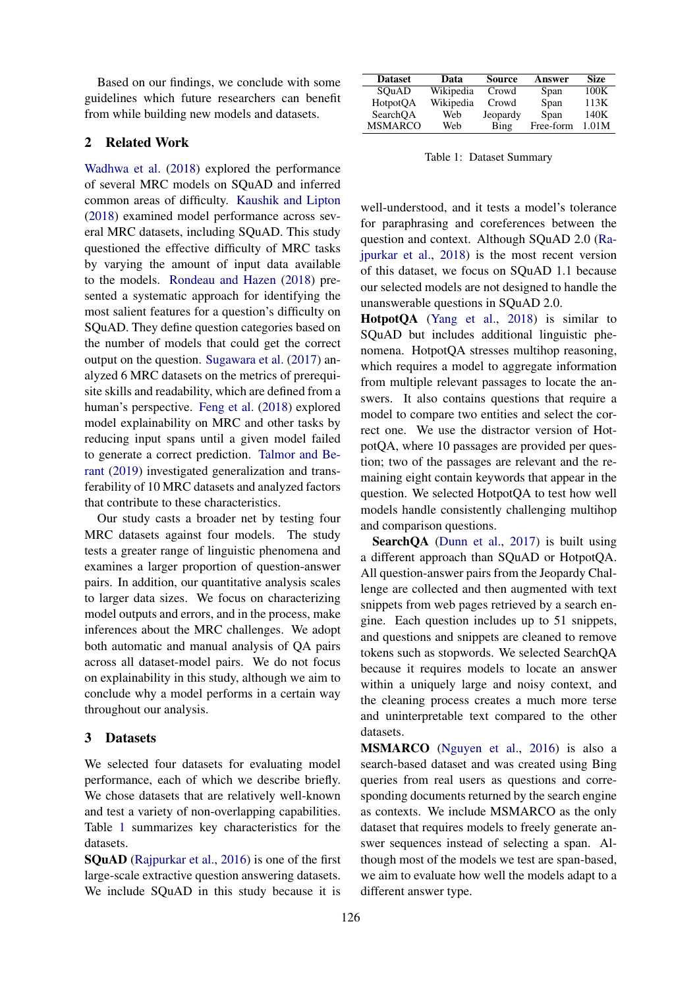Based on our findings, we conclude with some guidelines which future researchers can benefit from while building new models and datasets.

### 2 Related Work

Wadhwa et al. (2018) explored the performance of several MRC models on SQuAD and inferred common areas of difficulty. Kaushik and Lipton (2018) examined model performance across several MRC datasets, including SQuAD. This study questioned the effective difficulty of MRC tasks by varying the amount of input data available to the models. Rondeau and Hazen (2018) presented a systematic approach for identifying the most salient features for a question's difficulty on SQuAD. They define question categories based on the number of models that could get the correct output on the question. Sugawara et al. (2017) analyzed 6 MRC datasets on the metrics of prerequisite skills and readability, which are defined from a human's perspective. Feng et al. (2018) explored model explainability on MRC and other tasks by reducing input spans until a given model failed to generate a correct prediction. Talmor and Berant (2019) investigated generalization and transferability of 10 MRC datasets and analyzed factors that contribute to these characteristics.

Our study casts a broader net by testing four MRC datasets against four models. The study tests a greater range of linguistic phenomena and examines a larger proportion of question-answer pairs. In addition, our quantitative analysis scales to larger data sizes. We focus on characterizing model outputs and errors, and in the process, make inferences about the MRC challenges. We adopt both automatic and manual analysis of QA pairs across all dataset-model pairs. We do not focus on explainability in this study, although we aim to conclude why a model performs in a certain way throughout our analysis.

## 3 Datasets

We selected four datasets for evaluating model performance, each of which we describe briefly. We chose datasets that are relatively well-known and test a variety of non-overlapping capabilities. Table 1 summarizes key characteristics for the datasets.

SQuAD (Rajpurkar et al., 2016) is one of the first large-scale extractive question answering datasets. We include SQuAD in this study because it is

| <b>Dataset</b> | Data      | <b>Source</b> | Answer    | Size  |
|----------------|-----------|---------------|-----------|-------|
| SOuAD          | Wikipedia | Crowd         | Span      | 100K  |
| HotpotQA       | Wikipedia | Crowd         | Span      | 113K  |
| SearchOA       | Web       | Jeopardy      | Span      | 140K  |
| <b>MSMARCO</b> | Web       | Bing          | Free-form | 1.01M |

Table 1: Dataset Summary

well-understood, and it tests a model's tolerance for paraphrasing and coreferences between the question and context. Although SQuAD 2.0 (Rajpurkar et al., 2018) is the most recent version of this dataset, we focus on SQuAD 1.1 because our selected models are not designed to handle the unanswerable questions in SQuAD 2.0.

HotpotQA (Yang et al., 2018) is similar to SQuAD but includes additional linguistic phenomena. HotpotQA stresses multihop reasoning, which requires a model to aggregate information from multiple relevant passages to locate the answers. It also contains questions that require a model to compare two entities and select the correct one. We use the distractor version of HotpotQA, where 10 passages are provided per question; two of the passages are relevant and the remaining eight contain keywords that appear in the question. We selected HotpotQA to test how well models handle consistently challenging multihop and comparison questions.

SearchQA (Dunn et al., 2017) is built using a different approach than SQuAD or HotpotQA. All question-answer pairs from the Jeopardy Challenge are collected and then augmented with text snippets from web pages retrieved by a search engine. Each question includes up to 51 snippets, and questions and snippets are cleaned to remove tokens such as stopwords. We selected SearchQA because it requires models to locate an answer within a uniquely large and noisy context, and the cleaning process creates a much more terse and uninterpretable text compared to the other datasets.

MSMARCO (Nguyen et al., 2016) is also a search-based dataset and was created using Bing queries from real users as questions and corresponding documents returned by the search engine as contexts. We include MSMARCO as the only dataset that requires models to freely generate answer sequences instead of selecting a span. Although most of the models we test are span-based, we aim to evaluate how well the models adapt to a different answer type.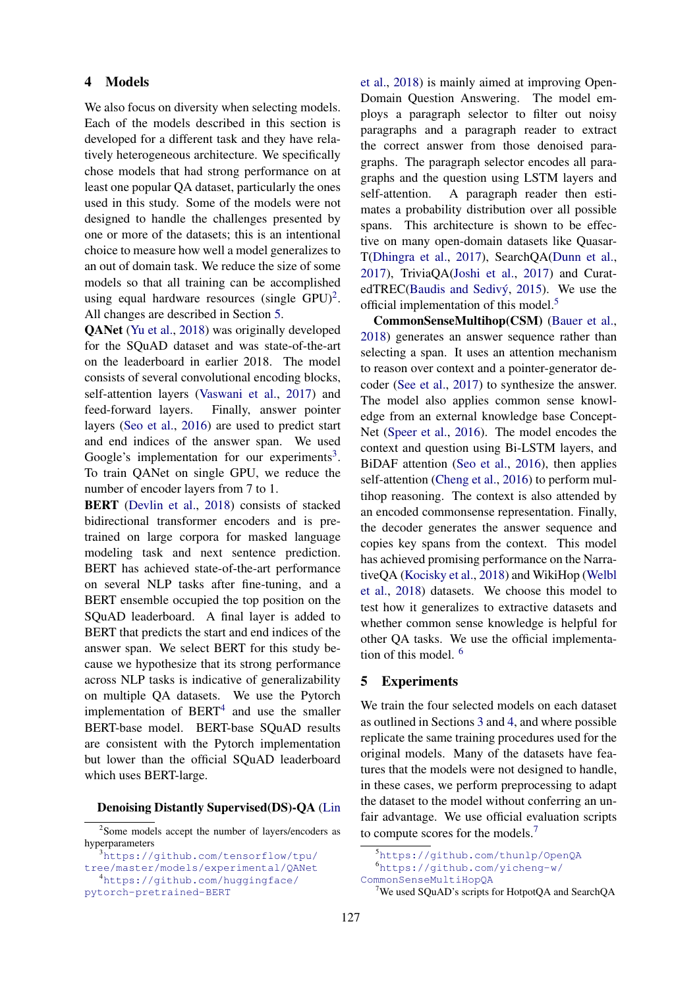#### 4 Models

We also focus on diversity when selecting models. Each of the models described in this section is developed for a different task and they have relatively heterogeneous architecture. We specifically chose models that had strong performance on at least one popular QA dataset, particularly the ones used in this study. Some of the models were not designed to handle the challenges presented by one or more of the datasets; this is an intentional choice to measure how well a model generalizes to an out of domain task. We reduce the size of some models so that all training can be accomplished using equal hardware resources (single  $GPU)^2$ . All changes are described in Section 5.

QANet (Yu et al., 2018) was originally developed for the SQuAD dataset and was state-of-the-art on the leaderboard in earlier 2018. The model consists of several convolutional encoding blocks, self-attention layers (Vaswani et al., 2017) and feed-forward layers. Finally, answer pointer layers (Seo et al., 2016) are used to predict start and end indices of the answer span. We used Google's implementation for our experiments<sup>3</sup>. To train QANet on single GPU, we reduce the number of encoder layers from 7 to 1.

BERT (Devlin et al., 2018) consists of stacked bidirectional transformer encoders and is pretrained on large corpora for masked language modeling task and next sentence prediction. BERT has achieved state-of-the-art performance on several NLP tasks after fine-tuning, and a BERT ensemble occupied the top position on the SQuAD leaderboard. A final layer is added to BERT that predicts the start and end indices of the answer span. We select BERT for this study because we hypothesize that its strong performance across NLP tasks is indicative of generalizability on multiple QA datasets. We use the Pytorch implementation of  $BERT<sup>4</sup>$  and use the smaller BERT-base model. BERT-base SQuAD results are consistent with the Pytorch implementation but lower than the official SQuAD leaderboard which uses BERT-large.

#### Denoising Distantly Supervised(DS)-QA (Lin

et al., 2018) is mainly aimed at improving Open-Domain Question Answering. The model employs a paragraph selector to filter out noisy paragraphs and a paragraph reader to extract the correct answer from those denoised paragraphs. The paragraph selector encodes all paragraphs and the question using LSTM layers and self-attention. A paragraph reader then estimates a probability distribution over all possible spans. This architecture is shown to be effective on many open-domain datasets like Quasar-T(Dhingra et al., 2017), SearchQA(Dunn et al., 2017), TriviaQA(Joshi et al., 2017) and CuratedTREC(Baudis and Sedivý, 2015). We use the official implementation of this model.5

CommonSenseMultihop(CSM) (Bauer et al., 2018) generates an answer sequence rather than selecting a span. It uses an attention mechanism to reason over context and a pointer-generator decoder (See et al., 2017) to synthesize the answer. The model also applies common sense knowledge from an external knowledge base Concept-Net (Speer et al., 2016). The model encodes the context and question using Bi-LSTM layers, and BiDAF attention (Seo et al., 2016), then applies self-attention (Cheng et al., 2016) to perform multihop reasoning. The context is also attended by an encoded commonsense representation. Finally, the decoder generates the answer sequence and copies key spans from the context. This model has achieved promising performance on the NarrativeQA (Kocisky et al., 2018) and WikiHop (Welbl et al., 2018) datasets. We choose this model to test how it generalizes to extractive datasets and whether common sense knowledge is helpful for other QA tasks. We use the official implementation of this model. 6

#### 5 Experiments

We train the four selected models on each dataset as outlined in Sections 3 and 4, and where possible replicate the same training procedures used for the original models. Many of the datasets have features that the models were not designed to handle, in these cases, we perform preprocessing to adapt the dataset to the model without conferring an unfair advantage. We use official evaluation scripts to compute scores for the models.7

<sup>&</sup>lt;sup>2</sup>Some models accept the number of layers/encoders as hyperparameters

<sup>3</sup>https://qithub.com/tensorflow/tpu/ tree/master/models/experimental/QANet <sup>4</sup>https://github.com/huggingface/ pytorch-pretrained-BERT

<sup>5</sup><https://github.com/thunlp/OpenQA> <sup>6</sup>[https://github.com/yicheng-w/](https://github.com/yicheng-w/CommonSenseMultiHopQA) [CommonSenseMultiHopQA](https://github.com/yicheng-w/CommonSenseMultiHopQA)

<sup>7</sup>We used SQuAD's scripts for HotpotQA and SearchQA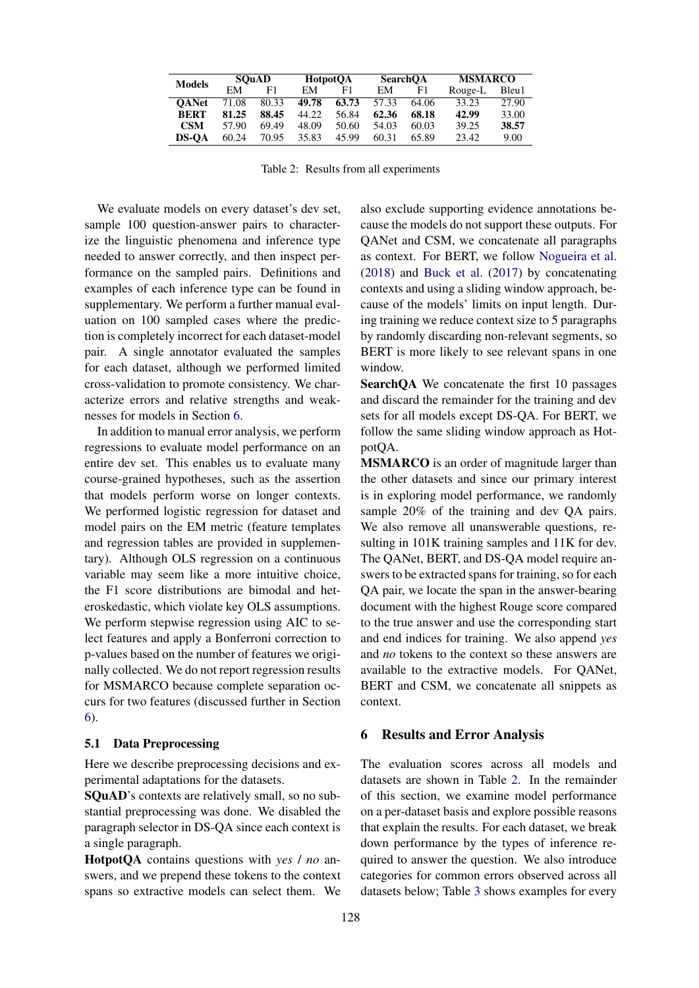| <b>Models</b> |       | <b>SOuAD</b> |       | <b>HotpotOA</b> |       | <b>SearchOA</b> |         | <b>MSMARCO</b> |  |
|---------------|-------|--------------|-------|-----------------|-------|-----------------|---------|----------------|--|
|               | FМ    | F1.          | EM    | F1              | EМ    | F1              | Rouge-L | Bleu1          |  |
| <b>OANet</b>  | 71.08 | 80.33        | 49.78 | 63.73           | 57.33 | 64.06           | 33.23   | 27.90          |  |
| <b>BERT</b>   | 81.25 | 88.45        | 44.22 | 56.84           | 62.36 | 68.18           | 42.99   | 33.00          |  |
| <b>CSM</b>    | 57.90 | 69.49        | 48.09 | 50.60           | 54.03 | 60.03           | 39.25   | 38.57          |  |
| <b>DS-OA</b>  | 60.24 | 70.95        | 35.83 | 45.99           | 60.31 | 65.89           | 23.42   | 9.00           |  |

Table 2: Results from all experiments

We evaluate models on every dataset's dev set, sample 100 question-answer pairs to characterize the linguistic phenomena and inference type needed to answer correctly, and then inspect performance on the sampled pairs. Definitions and examples of each inference type can be found in supplementary. We perform a further manual evaluation on 100 sampled cases where the prediction is completely incorrect for each dataset-model pair. A single annotator evaluated the samples for each dataset, although we performed limited cross-validation to promote consistency. We characterize errors and relative strengths and weaknesses for models in Section 6.

In addition to manual error analysis, we perform regressions to evaluate model performance on an entire dev set. This enables us to evaluate many course-grained hypotheses, such as the assertion that models perform worse on longer contexts. We performed logistic regression for dataset and model pairs on the EM metric (feature templates and regression tables are provided in supplementary). Although OLS regression on a continuous variable may seem like a more intuitive choice, the F1 score distributions are bimodal and heteroskedastic, which violate key OLS assumptions. We perform stepwise regression using AIC to select features and apply a Bonferroni correction to p-values based on the number of features we originally collected. We do not report regression results for MSMARCO because complete separation occurs for two features (discussed further in Section 6).

#### 5.1 Data Preprocessing

Here we describe preprocessing decisions and experimental adaptations for the datasets.

SQuAD's contexts are relatively small, so no substantial preprocessing was done. We disabled the paragraph selector in DS-QA since each context is a single paragraph.

HotpotQA contains questions with *yes* / *no* answers, and we prepend these tokens to the context spans so extractive models can select them. We also exclude supporting evidence annotations because the models do not support these outputs. For QANet and CSM, we concatenate all paragraphs as context. For BERT, we follow Nogueira et al. (2018) and Buck et al. (2017) by concatenating contexts and using a sliding window approach, because of the models' limits on input length. During training we reduce context size to 5 paragraphs by randomly discarding non-relevant segments, so BERT is more likely to see relevant spans in one window.

SearchQA We concatenate the first 10 passages and discard the remainder for the training and dev sets for all models except DS-QA. For BERT, we follow the same sliding window approach as HotpotQA.

MSMARCO is an order of magnitude larger than the other datasets and since our primary interest is in exploring model performance, we randomly sample 20% of the training and dev QA pairs. We also remove all unanswerable questions, resulting in 101K training samples and 11K for dev. The QANet, BERT, and DS-QA model require answers to be extracted spans for training, so for each QA pair, we locate the span in the answer-bearing document with the highest Rouge score compared to the true answer and use the corresponding start and end indices for training. We also append *yes* and *no* tokens to the context so these answers are available to the extractive models. For QANet, BERT and CSM, we concatenate all snippets as context.

#### 6 Results and Error Analysis

The evaluation scores across all models and datasets are shown in Table 2. In the remainder of this section, we examine model performance on a per-dataset basis and explore possible reasons that explain the results. For each dataset, we break down performance by the types of inference required to answer the question. We also introduce categories for common errors observed across all datasets below; Table 3 shows examples for every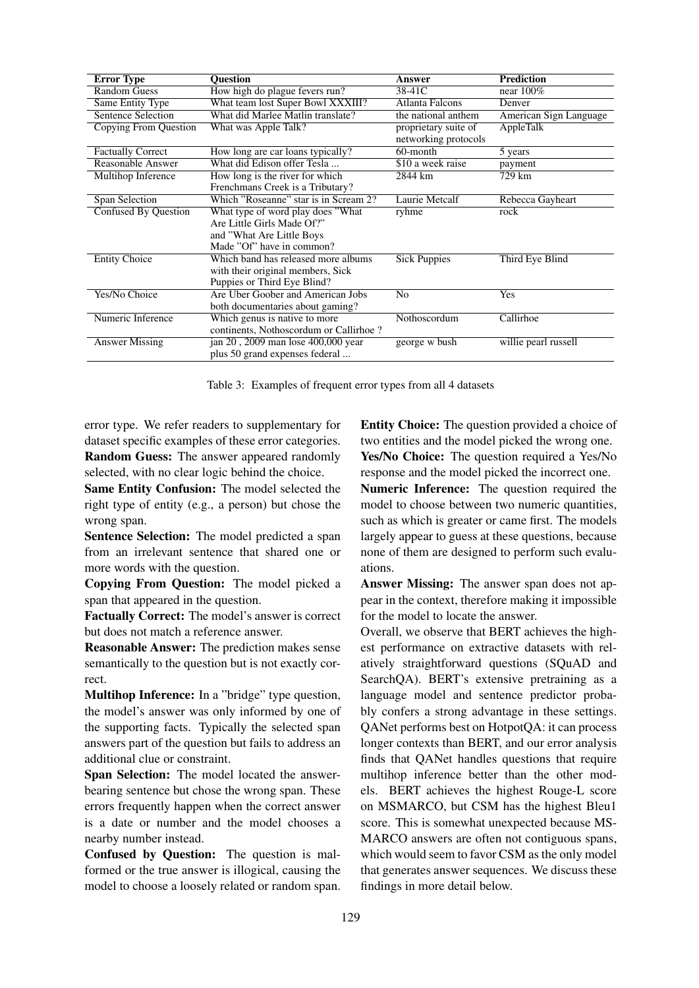| <b>Error Type</b>           | <b>Ouestion</b>                        | Answer                 | <b>Prediction</b>      |
|-----------------------------|----------------------------------------|------------------------|------------------------|
| <b>Random Guess</b>         | How high do plague fevers run?         | 38-41C                 | near $100\%$           |
| Same Entity Type            | What team lost Super Bowl XXXIII?      | <b>Atlanta Falcons</b> | Denver                 |
| <b>Sentence Selection</b>   | What did Marlee Matlin translate?      | the national anthem    | American Sign Language |
| Copying From Question       | What was Apple Talk?                   | proprietary suite of   | AppleTalk              |
|                             |                                        | networking protocols   |                        |
| <b>Factually Correct</b>    | How long are car loans typically?      | 60-month               | 5 years                |
| Reasonable Answer           | What did Edison offer Tesla            | \$10 a week raise      | payment                |
| Multihop Inference          | How long is the river for which        | 2844 km                | 729 km                 |
|                             | Frenchmans Creek is a Tributary?       |                        |                        |
| Span Selection              | Which "Roseanne" star is in Scream 2?  | Laurie Metcalf         | Rebecca Gayheart       |
| <b>Confused By Question</b> | What type of word play does "What"     | ryhme                  | rock                   |
|                             | Are Little Girls Made Of?"             |                        |                        |
|                             | and "What Are Little Boys"             |                        |                        |
|                             | Made "Of" have in common?              |                        |                        |
| <b>Entity Choice</b>        | Which band has released more albums    | <b>Sick Puppies</b>    | Third Eye Blind        |
|                             | with their original members, Sick      |                        |                        |
|                             | Puppies or Third Eye Blind?            |                        |                        |
| Yes/No Choice               | Are Uber Goober and American Jobs      | N <sub>0</sub>         | Yes                    |
|                             | both documentaries about gaming?       |                        |                        |
| Numeric Inference           | Which genus is native to more          | Nothoscordum           | Callirhoe              |
|                             | continents, Nothoscordum or Callirhoe? |                        |                        |
| <b>Answer Missing</b>       | jan 20, 2009 man lose 400,000 year     | george w bush          | willie pearl russell   |
|                             | plus 50 grand expenses federal         |                        |                        |

Table 3: Examples of frequent error types from all 4 datasets

error type. We refer readers to supplementary for dataset specific examples of these error categories. Random Guess: The answer appeared randomly selected, with no clear logic behind the choice.

Same Entity Confusion: The model selected the right type of entity (e.g., a person) but chose the wrong span.

Sentence Selection: The model predicted a span from an irrelevant sentence that shared one or more words with the question.

Copying From Question: The model picked a span that appeared in the question.

Factually Correct: The model's answer is correct but does not match a reference answer.

Reasonable Answer: The prediction makes sense semantically to the question but is not exactly correct.

Multihop Inference: In a "bridge" type question, the model's answer was only informed by one of the supporting facts. Typically the selected span answers part of the question but fails to address an additional clue or constraint.

Span Selection: The model located the answerbearing sentence but chose the wrong span. These errors frequently happen when the correct answer is a date or number and the model chooses a nearby number instead.

Confused by Question: The question is malformed or the true answer is illogical, causing the model to choose a loosely related or random span. Entity Choice: The question provided a choice of two entities and the model picked the wrong one. Yes/No Choice: The question required a Yes/No response and the model picked the incorrect one.

Numeric Inference: The question required the model to choose between two numeric quantities, such as which is greater or came first. The models largely appear to guess at these questions, because none of them are designed to perform such evaluations.

Answer Missing: The answer span does not appear in the context, therefore making it impossible for the model to locate the answer.

Overall, we observe that BERT achieves the highest performance on extractive datasets with relatively straightforward questions (SQuAD and SearchQA). BERT's extensive pretraining as a language model and sentence predictor probably confers a strong advantage in these settings. QANet performs best on HotpotQA: it can process longer contexts than BERT, and our error analysis finds that QANet handles questions that require multihop inference better than the other models. BERT achieves the highest Rouge-L score on MSMARCO, but CSM has the highest Bleu1 score. This is somewhat unexpected because MS-MARCO answers are often not contiguous spans, which would seem to favor CSM as the only model that generates answer sequences. We discuss these findings in more detail below.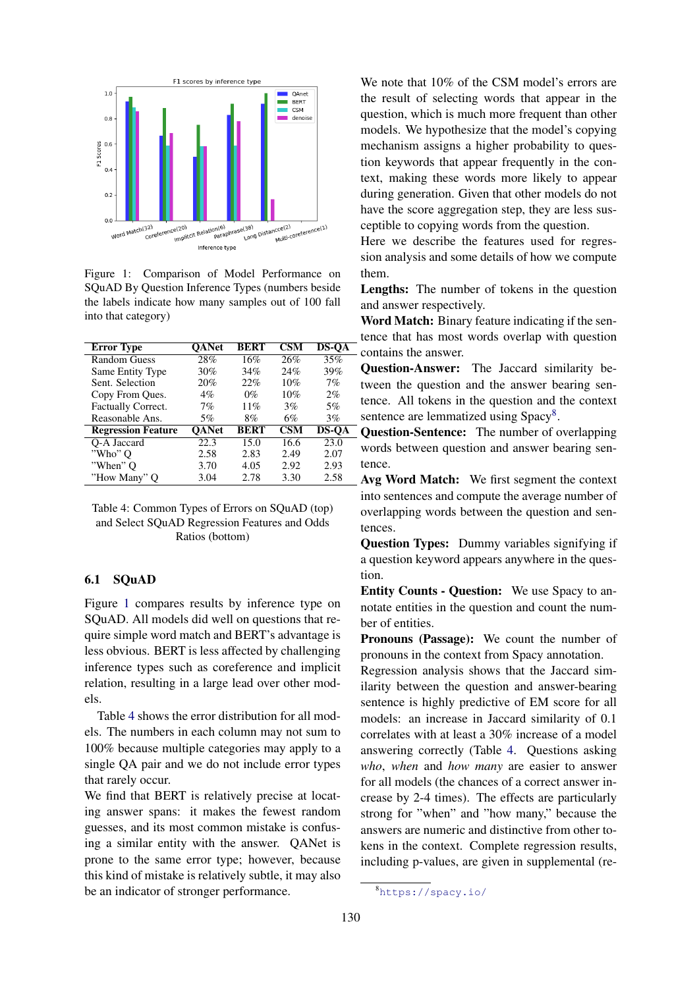

Figure 1: Comparison of Model Performance on SQuAD By Question Inference Types (numbers beside the labels indicate how many samples out of 100 fall into that category)

| <b>Error Type</b>         | <b>OANet</b> | <b>BERT</b> | $\overline{\text{CSM}}$ | <b>DS-OA</b> |
|---------------------------|--------------|-------------|-------------------------|--------------|
| Random Guess              | 28%          | 16%         | 26%                     | 35%          |
| Same Entity Type          | 30%          | 34%         | 24%                     | 39%          |
| Sent. Selection           | 20%          | 22%         | 10%                     | 7%           |
| Copy From Ques.           | $4\%$        | $0\%$       | 10%                     | $2\%$        |
| Factually Correct.        | $7\%$        | 11%         | 3%                      | 5%           |
| Reasonable Ans.           | 5%           | 8%          | 6%                      | 3%           |
| <b>Regression Feature</b> | <b>OANet</b> | <b>BERT</b> | <b>CSM</b>              | <b>DS-OA</b> |
| O-A Jaccard               | 22.3         | 15.0        | 16.6                    | 23.0         |
| "Who" O                   | 2.58         | 2.83        | 2.49                    | 2.07         |
| "When" O                  | 3.70         | 4.05        | 2.92                    | 2.93         |
| "How Many" Q              | 3.04         | 2.78        | 3.30                    | 2.58         |

Table 4: Common Types of Errors on SQuAD (top) and Select SQuAD Regression Features and Odds Ratios (bottom)

#### 6.1 SQuAD

Figure 1 compares results by inference type on SQuAD. All models did well on questions that require simple word match and BERT's advantage is less obvious. BERT is less affected by challenging inference types such as coreference and implicit relation, resulting in a large lead over other models.

Table 4 shows the error distribution for all models. The numbers in each column may not sum to 100% because multiple categories may apply to a single QA pair and we do not include error types that rarely occur.

We find that BERT is relatively precise at locating answer spans: it makes the fewest random guesses, and its most common mistake is confusing a similar entity with the answer. QANet is prone to the same error type; however, because this kind of mistake is relatively subtle, it may also be an indicator of stronger performance.

We note that  $10\%$  of the CSM model's errors are the result of selecting words that appear in the question, which is much more frequent than other models. We hypothesize that the model's copying mechanism assigns a higher probability to question keywords that appear frequently in the context, making these words more likely to appear during generation. Given that other models do not have the score aggregation step, they are less susceptible to copying words from the question.

Here we describe the features used for regression analysis and some details of how we compute them.

Lengths: The number of tokens in the question and answer respectively.

Word Match: Binary feature indicating if the sentence that has most words overlap with question contains the answer.

Question-Answer: The Jaccard similarity between the question and the answer bearing sentence. All tokens in the question and the context sentence are lemmatized using Spacy<sup>8</sup>.

Question-Sentence: The number of overlapping words between question and answer bearing sentence.

Avg Word Match: We first segment the context into sentences and compute the average number of overlapping words between the question and sentences.

Question Types: Dummy variables signifying if a question keyword appears anywhere in the question.

Entity Counts - Question: We use Spacy to annotate entities in the question and count the number of entities.

Pronouns (Passage): We count the number of pronouns in the context from Spacy annotation.

Regression analysis shows that the Jaccard similarity between the question and answer-bearing sentence is highly predictive of EM score for all models: an increase in Jaccard similarity of 0.1 correlates with at least a 30% increase of a model answering correctly (Table 4. Questions asking *who*, *when* and *how many* are easier to answer for all models (the chances of a correct answer increase by 2-4 times). The effects are particularly strong for "when" and "how many," because the answers are numeric and distinctive from other tokens in the context. Complete regression results, including p-values, are given in supplemental (re-

<sup>8</sup><https://spacy.io/>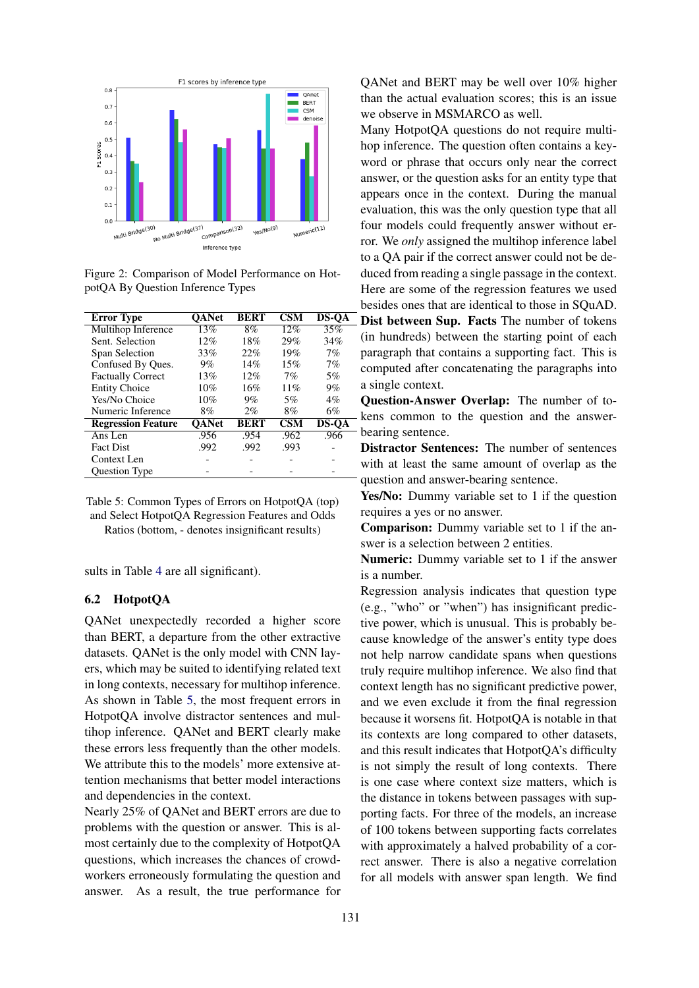

Figure 2: Comparison of Model Performance on HotpotQA By Question Inference Types

| <b>Error Type</b>         | <b>OANet</b> | <b>BERT</b> | <b>CSM</b> | <b>DS-QA</b> |
|---------------------------|--------------|-------------|------------|--------------|
| Multihop Inference        | 13%          | 8%          | 12%        | 35%          |
| Sent. Selection           | 12%          | 18%         | 29%        | 34%          |
| Span Selection            | 33%          | 22%         | 19%        | 7%           |
| Confused By Ques.         | $9\%$        | 14%         | 15%        | 7%           |
| <b>Factually Correct</b>  | 13%          | 12%         | $7\%$      | 5%           |
| <b>Entity Choice</b>      | 10%          | 16%         | 11%        | $9\%$        |
| Yes/No Choice             | 10%          | $9\%$       | 5%         | $4\%$        |
| Numeric Inference         | 8%           | $2\%$       | 8%         | 6%           |
| <b>Regression Feature</b> | <b>OANet</b> | <b>BERT</b> | <b>CSM</b> | <b>DS-QA</b> |
| Ans Len                   | .956         | .954        | .962       | .966         |
| <b>Fact Dist</b>          | .992         | .992        | .993       |              |
| Context Len               |              |             |            |              |
| <b>Ouestion Type</b>      |              |             |            |              |

Table 5: Common Types of Errors on HotpotQA (top) and Select HotpotQA Regression Features and Odds Ratios (bottom, - denotes insignificant results)

sults in Table 4 are all significant).

#### 6.2 HotpotQA

QANet unexpectedly recorded a higher score than BERT, a departure from the other extractive datasets. QANet is the only model with CNN layers, which may be suited to identifying related text in long contexts, necessary for multihop inference. As shown in Table 5, the most frequent errors in HotpotQA involve distractor sentences and multihop inference. QANet and BERT clearly make these errors less frequently than the other models. We attribute this to the models' more extensive attention mechanisms that better model interactions and dependencies in the context.

Nearly 25% of QANet and BERT errors are due to problems with the question or answer. This is almost certainly due to the complexity of HotpotQA questions, which increases the chances of crowdworkers erroneously formulating the question and answer. As a result, the true performance for QANet and BERT may be well over 10% higher than the actual evaluation scores; this is an issue we observe in MSMARCO as well.

Many HotpotQA questions do not require multihop inference. The question often contains a keyword or phrase that occurs only near the correct answer, or the question asks for an entity type that appears once in the context. During the manual evaluation, this was the only question type that all four models could frequently answer without error. We *only* assigned the multihop inference label to a QA pair if the correct answer could not be deduced from reading a single passage in the context. Here are some of the regression features we used besides ones that are identical to those in SQuAD. Dist between Sup. Facts The number of tokens (in hundreds) between the starting point of each paragraph that contains a supporting fact. This is computed after concatenating the paragraphs into a single context.

Question-Answer Overlap: The number of to-- kens common to the question and the answer-- bearing sentence.

Distractor Sentences: The number of sentences with at least the same amount of overlap as the question and answer-bearing sentence.

Yes/No: Dummy variable set to 1 if the question requires a yes or no answer.

Comparison: Dummy variable set to 1 if the answer is a selection between 2 entities.

Numeric: Dummy variable set to 1 if the answer is a number.

Regression analysis indicates that question type (e.g., "who" or "when") has insignificant predictive power, which is unusual. This is probably because knowledge of the answer's entity type does not help narrow candidate spans when questions truly require multihop inference. We also find that context length has no significant predictive power, and we even exclude it from the final regression because it worsens fit. HotpotQA is notable in that its contexts are long compared to other datasets, and this result indicates that HotpotQA's difficulty is not simply the result of long contexts. There is one case where context size matters, which is the distance in tokens between passages with supporting facts. For three of the models, an increase of 100 tokens between supporting facts correlates with approximately a halved probability of a correct answer. There is also a negative correlation for all models with answer span length. We find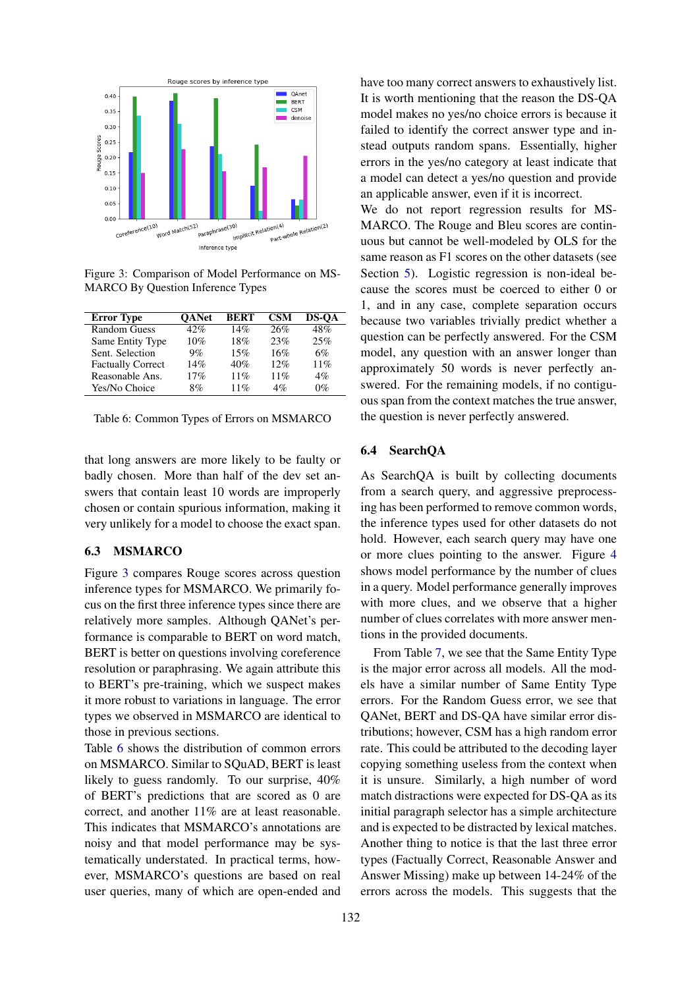

Figure 3: Comparison of Model Performance on MS-MARCO By Question Inference Types

| <b>Error Type</b>        | <b>OANet</b> | <b>BERT</b> | <b>CSM</b> | <b>DS-OA</b> |
|--------------------------|--------------|-------------|------------|--------------|
| <b>Random Guess</b>      | 42%          | 14%         | 26%        | 48%          |
| Same Entity Type         | 10%          | 18%         | 23%        | 25%          |
| Sent. Selection          | $9\%$        | 15%         | 16%        | 6%           |
| <b>Factually Correct</b> | 14%          | 40%         | 12%        | 11%          |
| Reasonable Ans.          | 17%          | 11%         | 11%        | 4%           |
| Yes/No Choice            | 8%           | 11%         | $4\%$      | 0%           |

Table 6: Common Types of Errors on MSMARCO

that long answers are more likely to be faulty or badly chosen. More than half of the dev set answers that contain least 10 words are improperly chosen or contain spurious information, making it very unlikely for a model to choose the exact span.

### 6.3 MSMARCO

Figure 3 compares Rouge scores across question inference types for MSMARCO. We primarily focus on the first three inference types since there are relatively more samples. Although QANet's performance is comparable to BERT on word match, BERT is better on questions involving coreference resolution or paraphrasing. We again attribute this to BERT's pre-training, which we suspect makes it more robust to variations in language. The error types we observed in MSMARCO are identical to those in previous sections.

Table 6 shows the distribution of common errors on MSMARCO. Similar to SQuAD, BERT is least likely to guess randomly. To our surprise, 40% of BERT's predictions that are scored as 0 are correct, and another 11% are at least reasonable. This indicates that MSMARCO's annotations are noisy and that model performance may be systematically understated. In practical terms, however, MSMARCO's questions are based on real user queries, many of which are open-ended and

have too many correct answers to exhaustively list. It is worth mentioning that the reason the DS-QA model makes no yes/no choice errors is because it failed to identify the correct answer type and instead outputs random spans. Essentially, higher errors in the yes/no category at least indicate that a model can detect a yes/no question and provide an applicable answer, even if it is incorrect.

We do not report regression results for MS-MARCO. The Rouge and Bleu scores are continuous but cannot be well-modeled by OLS for the same reason as F1 scores on the other datasets (see Section 5). Logistic regression is non-ideal because the scores must be coerced to either 0 or 1, and in any case, complete separation occurs because two variables trivially predict whether a question can be perfectly answered. For the CSM model, any question with an answer longer than approximately 50 words is never perfectly answered. For the remaining models, if no contiguous span from the context matches the true answer, the question is never perfectly answered.

#### 6.4 SearchQA

As SearchQA is built by collecting documents from a search query, and aggressive preprocessing has been performed to remove common words, the inference types used for other datasets do not hold. However, each search query may have one or more clues pointing to the answer. Figure 4 shows model performance by the number of clues in a query. Model performance generally improves with more clues, and we observe that a higher number of clues correlates with more answer mentions in the provided documents.

From Table 7, we see that the Same Entity Type is the major error across all models. All the models have a similar number of Same Entity Type errors. For the Random Guess error, we see that QANet, BERT and DS-QA have similar error distributions; however, CSM has a high random error rate. This could be attributed to the decoding layer copying something useless from the context when it is unsure. Similarly, a high number of word match distractions were expected for DS-QA as its initial paragraph selector has a simple architecture and is expected to be distracted by lexical matches. Another thing to notice is that the last three error types (Factually Correct, Reasonable Answer and Answer Missing) make up between 14-24% of the errors across the models. This suggests that the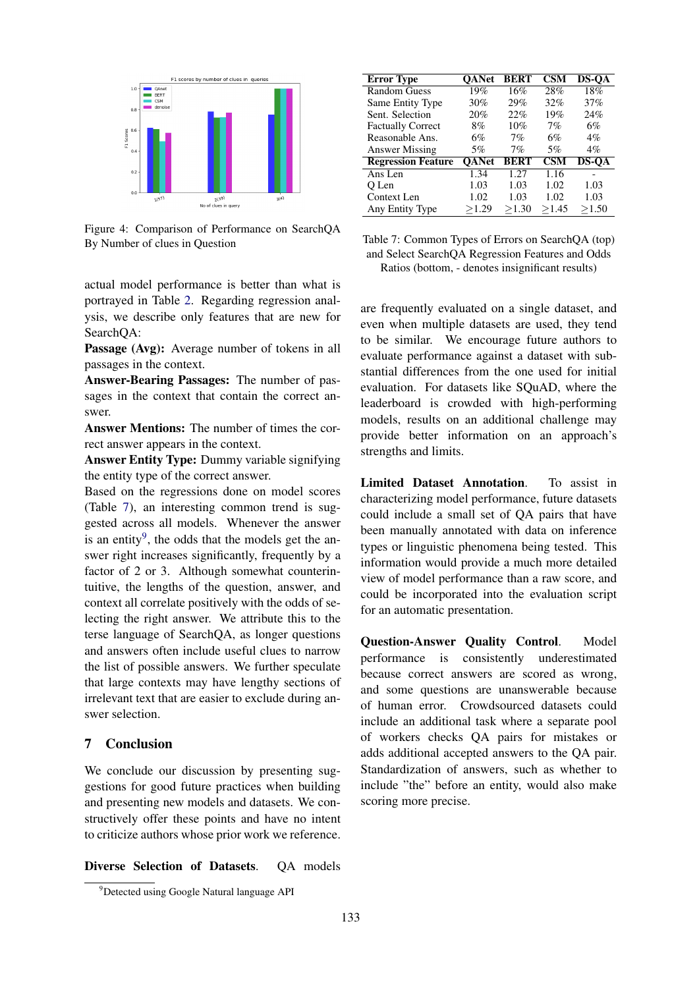

Figure 4: Comparison of Performance on SearchQA By Number of clues in Question

actual model performance is better than what is portrayed in Table 2. Regarding regression analysis, we describe only features that are new for SearchQA:

Passage (Avg): Average number of tokens in all passages in the context.

Answer-Bearing Passages: The number of passages in the context that contain the correct answer.

Answer Mentions: The number of times the correct answer appears in the context.

Answer Entity Type: Dummy variable signifying the entity type of the correct answer.

Based on the regressions done on model scores (Table 7), an interesting common trend is suggested across all models. Whenever the answer is an entity<sup>9</sup>, the odds that the models get the answer right increases significantly, frequently by a factor of 2 or 3. Although somewhat counterintuitive, the lengths of the question, answer, and context all correlate positively with the odds of selecting the right answer. We attribute this to the terse language of SearchQA, as longer questions and answers often include useful clues to narrow the list of possible answers. We further speculate that large contexts may have lengthy sections of irrelevant text that are easier to exclude during answer selection.

## 7 Conclusion

We conclude our discussion by presenting suggestions for good future practices when building and presenting new models and datasets. We constructively offer these points and have no intent to criticize authors whose prior work we reference.

Diverse Selection of Datasets. QA models

Table 7: Common Types of Errors on SearchQA (top) and Select SearchQA Regression Features and Odds Ratios (bottom, - denotes insignificant results)

are frequently evaluated on a single dataset, and even when multiple datasets are used, they tend to be similar. We encourage future authors to evaluate performance against a dataset with substantial differences from the one used for initial evaluation. For datasets like SQuAD, where the leaderboard is crowded with high-performing models, results on an additional challenge may provide better information on an approach's strengths and limits.

Limited Dataset Annotation. To assist in characterizing model performance, future datasets could include a small set of QA pairs that have been manually annotated with data on inference types or linguistic phenomena being tested. This information would provide a much more detailed view of model performance than a raw score, and could be incorporated into the evaluation script for an automatic presentation.

Question-Answer Quality Control. Model performance is consistently underestimated because correct answers are scored as wrong, and some questions are unanswerable because of human error. Crowdsourced datasets could include an additional task where a separate pool of workers checks QA pairs for mistakes or adds additional accepted answers to the QA pair. Standardization of answers, such as whether to include "the" before an entity, would also make scoring more precise.

Error Type QANet BERT CSM DS-QA Random Guess 19% 16% 28% 18%<br>Same Entity Type 30% 29% 32% 37% Same Entity Type Sent. Selection 20% 22% 19% 24%<br>Factually Correct 8% 10% 7% 6% Factually Correct 8% 10% 7% 6%<br>Reasonable Ans. 6% 7% 6% 4% Reasonable Ans.  $6\%$   $7\%$   $6\%$ <br>Answer Missing  $5\%$   $7\%$   $5\%$ Answer Missing 5% 7% 5% 4% Regression Feature QANet BERT CSM DS-QA Ans Len 1.34 1.27 1.16 -<br>O Len 1.03 1.03 1.02 1.03 Q Len 1.03 1.03 1.02 1.03 Context Len  $1.02$   $1.03$   $1.02$   $1.03$ <br>Any Entity Type  $\geq 1.29$   $\geq 1.30$   $\geq 1.45$   $\geq 1.50$ Any Entity Type ≥1.29 ≥1.30 ≥1.45 ≥1.50

<sup>&</sup>lt;sup>9</sup>Detected using Google Natural language API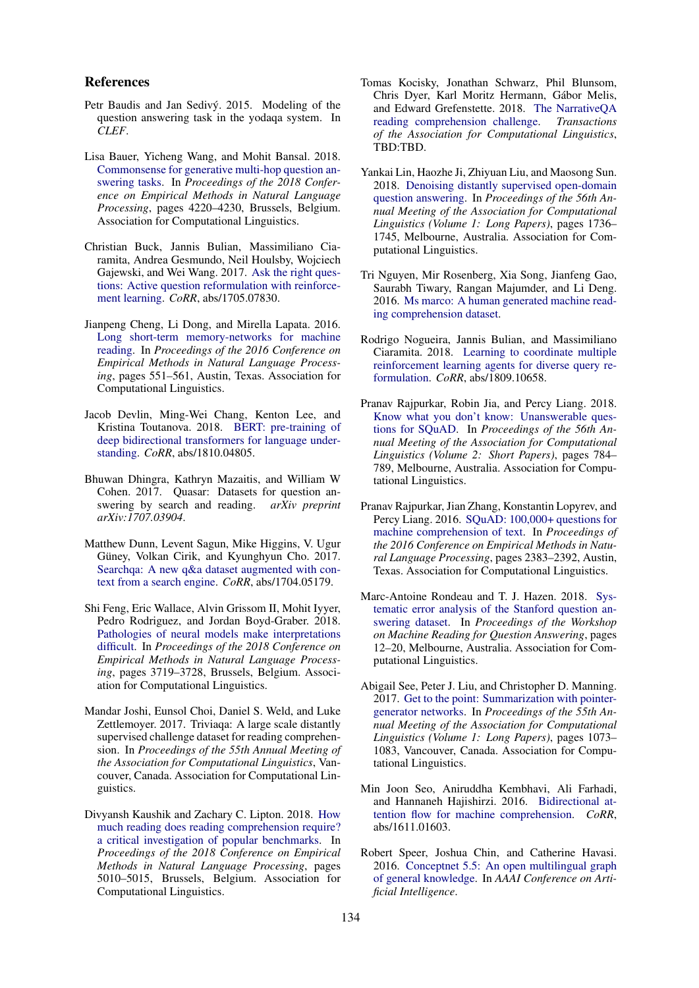#### References

- Petr Baudis and Jan Sedivý. 2015. Modeling of the question answering task in the yodaqa system. In *CLEF*.
- Lisa Bauer, Yicheng Wang, and Mohit Bansal. 2018. [Commonsense for generative multi-hop question an](https://www.aclweb.org/anthology/D18-1454)[swering tasks.](https://www.aclweb.org/anthology/D18-1454) In *Proceedings of the 2018 Conference on Empirical Methods in Natural Language Processing*, pages 4220–4230, Brussels, Belgium. Association for Computational Linguistics.
- Christian Buck, Jannis Bulian, Massimiliano Ciaramita, Andrea Gesmundo, Neil Houlsby, Wojciech Gajewski, and Wei Wang. 2017. [Ask the right ques](http://arxiv.org/abs/1705.07830)[tions: Active question reformulation with reinforce](http://arxiv.org/abs/1705.07830)[ment learning.](http://arxiv.org/abs/1705.07830) *CoRR*, abs/1705.07830.
- Jianpeng Cheng, Li Dong, and Mirella Lapata. 2016. [Long short-term memory-networks for machine](https://doi.org/10.18653/v1/D16-1053) [reading.](https://doi.org/10.18653/v1/D16-1053) In *Proceedings of the 2016 Conference on Empirical Methods in Natural Language Processing*, pages 551–561, Austin, Texas. Association for Computational Linguistics.
- Jacob Devlin, Ming-Wei Chang, Kenton Lee, and Kristina Toutanova. 2018. [BERT: pre-training of](http://arxiv.org/abs/1810.04805) [deep bidirectional transformers for language under](http://arxiv.org/abs/1810.04805)[standing.](http://arxiv.org/abs/1810.04805) *CoRR*, abs/1810.04805.
- Bhuwan Dhingra, Kathryn Mazaitis, and William W Cohen. 2017. Quasar: Datasets for question answering by search and reading. *arXiv preprint arXiv:1707.03904*.
- Matthew Dunn, Levent Sagun, Mike Higgins, V. Ugur Güney, Volkan Cirik, and Kyunghyun Cho. 2017. [Searchqa: A new q&a dataset augmented with con](http://arxiv.org/abs/1704.05179)[text from a search engine.](http://arxiv.org/abs/1704.05179) *CoRR*, abs/1704.05179.
- Shi Feng, Eric Wallace, Alvin Grissom II, Mohit Iyyer, Pedro Rodriguez, and Jordan Boyd-Graber. 2018. [Pathologies of neural models make interpretations](https://www.aclweb.org/anthology/D18-1407) [difficult.](https://www.aclweb.org/anthology/D18-1407) In *Proceedings of the 2018 Conference on Empirical Methods in Natural Language Processing*, pages 3719–3728, Brussels, Belgium. Association for Computational Linguistics.
- Mandar Joshi, Eunsol Choi, Daniel S. Weld, and Luke Zettlemoyer. 2017. Triviaqa: A large scale distantly supervised challenge dataset for reading comprehension. In *Proceedings of the 55th Annual Meeting of the Association for Computational Linguistics*, Vancouver, Canada. Association for Computational Linguistics.
- Divyansh Kaushik and Zachary C. Lipton. 2018. [How](https://www.aclweb.org/anthology/D18-1546) [much reading does reading comprehension require?](https://www.aclweb.org/anthology/D18-1546) [a critical investigation of popular benchmarks.](https://www.aclweb.org/anthology/D18-1546) In *Proceedings of the 2018 Conference on Empirical Methods in Natural Language Processing*, pages 5010–5015, Brussels, Belgium. Association for Computational Linguistics.
- Tomas Kocisky, Jonathan Schwarz, Phil Blunsom, Chris Dyer, Karl Moritz Hermann, Gabor Melis, ´ and Edward Grefenstette. 2018. [The NarrativeQA](https://TBD) [reading comprehension challenge.](https://TBD) *Transactions of the Association for Computational Linguistics*, TBD:TBD.
- Yankai Lin, Haozhe Ji, Zhiyuan Liu, and Maosong Sun. 2018. [Denoising distantly supervised open-domain](https://www.aclweb.org/anthology/P18-1161) [question answering.](https://www.aclweb.org/anthology/P18-1161) In *Proceedings of the 56th Annual Meeting of the Association for Computational Linguistics (Volume 1: Long Papers)*, pages 1736– 1745, Melbourne, Australia. Association for Computational Linguistics.
- Tri Nguyen, Mir Rosenberg, Xia Song, Jianfeng Gao, Saurabh Tiwary, Rangan Majumder, and Li Deng. 2016. [Ms marco: A human generated machine read](https://www.microsoft.com/en-us/research/publication/ms-marco-human-generated-machine-reading-comprehension-dataset/)[ing comprehension dataset.](https://www.microsoft.com/en-us/research/publication/ms-marco-human-generated-machine-reading-comprehension-dataset/)
- Rodrigo Nogueira, Jannis Bulian, and Massimiliano Ciaramita. 2018. [Learning to coordinate multiple](http://arxiv.org/abs/1809.10658) [reinforcement learning agents for diverse query re](http://arxiv.org/abs/1809.10658)[formulation.](http://arxiv.org/abs/1809.10658) *CoRR*, abs/1809.10658.
- Pranav Rajpurkar, Robin Jia, and Percy Liang. 2018. [Know what you don't know: Unanswerable ques](https://www.aclweb.org/anthology/P18-2124)[tions for SQuAD.](https://www.aclweb.org/anthology/P18-2124) In *Proceedings of the 56th Annual Meeting of the Association for Computational Linguistics (Volume 2: Short Papers)*, pages 784– 789, Melbourne, Australia. Association for Computational Linguistics.
- Pranav Rajpurkar, Jian Zhang, Konstantin Lopyrev, and Percy Liang. 2016. [SQuAD: 100,000+ questions for](https://doi.org/10.18653/v1/D16-1264) [machine comprehension of text.](https://doi.org/10.18653/v1/D16-1264) In *Proceedings of the 2016 Conference on Empirical Methods in Natural Language Processing*, pages 2383–2392, Austin, Texas. Association for Computational Linguistics.
- Marc-Antoine Rondeau and T. J. Hazen. 2018. [Sys](https://www.aclweb.org/anthology/W18-2602)[tematic error analysis of the Stanford question an](https://www.aclweb.org/anthology/W18-2602)[swering dataset.](https://www.aclweb.org/anthology/W18-2602) In *Proceedings of the Workshop on Machine Reading for Question Answering*, pages 12–20, Melbourne, Australia. Association for Computational Linguistics.
- Abigail See, Peter J. Liu, and Christopher D. Manning. 2017. [Get to the point: Summarization with pointer](https://doi.org/10.18653/v1/P17-1099)[generator networks.](https://doi.org/10.18653/v1/P17-1099) In *Proceedings of the 55th Annual Meeting of the Association for Computational Linguistics (Volume 1: Long Papers)*, pages 1073– 1083, Vancouver, Canada. Association for Computational Linguistics.
- Min Joon Seo, Aniruddha Kembhavi, Ali Farhadi, and Hannaneh Hajishirzi. 2016. [Bidirectional at](http://arxiv.org/abs/1611.01603)[tention flow for machine comprehension.](http://arxiv.org/abs/1611.01603) *CoRR*, abs/1611.01603.
- Robert Speer, Joshua Chin, and Catherine Havasi. 2016. [Conceptnet 5.5: An open multilingual graph](http://arxiv.org/abs/1612.03975) [of general knowledge.](http://arxiv.org/abs/1612.03975) In *AAAI Conference on Artificial Intelligence*.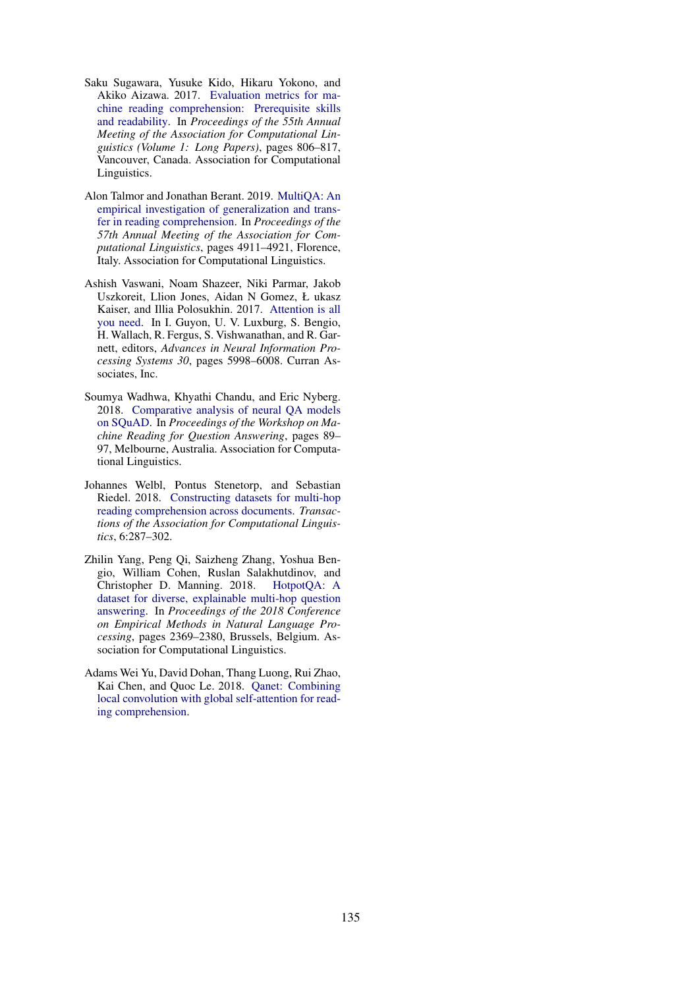- Saku Sugawara, Yusuke Kido, Hikaru Yokono, and Akiko Aizawa. 2017. [Evaluation metrics for ma](https://doi.org/10.18653/v1/P17-1075)[chine reading comprehension: Prerequisite skills](https://doi.org/10.18653/v1/P17-1075) [and readability.](https://doi.org/10.18653/v1/P17-1075) In *Proceedings of the 55th Annual Meeting of the Association for Computational Linguistics (Volume 1: Long Papers)*, pages 806–817, Vancouver, Canada. Association for Computational Linguistics.
- Alon Talmor and Jonathan Berant. 2019. [MultiQA: An](https://www.aclweb.org/anthology/P19-1485) [empirical investigation of generalization and trans](https://www.aclweb.org/anthology/P19-1485)[fer in reading comprehension.](https://www.aclweb.org/anthology/P19-1485) In *Proceedings of the 57th Annual Meeting of the Association for Computational Linguistics*, pages 4911–4921, Florence, Italy. Association for Computational Linguistics.
- Ashish Vaswani, Noam Shazeer, Niki Parmar, Jakob Uszkoreit, Llion Jones, Aidan N Gomez, Ł ukasz Kaiser, and Illia Polosukhin. 2017. [Attention is all](http://papers.nips.cc/paper/7181-attention-is-all-you-need.pdf) [you need.](http://papers.nips.cc/paper/7181-attention-is-all-you-need.pdf) In I. Guyon, U. V. Luxburg, S. Bengio, H. Wallach, R. Fergus, S. Vishwanathan, and R. Garnett, editors, *Advances in Neural Information Processing Systems 30*, pages 5998–6008. Curran Associates, Inc.
- Soumya Wadhwa, Khyathi Chandu, and Eric Nyberg. 2018. [Comparative analysis of neural QA models](https://www.aclweb.org/anthology/W18-2610) [on SQuAD.](https://www.aclweb.org/anthology/W18-2610) In *Proceedings of the Workshop on Machine Reading for Question Answering*, pages 89– 97, Melbourne, Australia. Association for Computational Linguistics.
- Johannes Welbl, Pontus Stenetorp, and Sebastian Riedel. 2018. [Constructing datasets for multi-hop](https://doi.org/10.1162/tacl_a_00021) [reading comprehension across documents.](https://doi.org/10.1162/tacl_a_00021) *Transactions of the Association for Computational Linguistics*, 6:287–302.
- Zhilin Yang, Peng Qi, Saizheng Zhang, Yoshua Bengio, William Cohen, Ruslan Salakhutdinov, and Christopher D. Manning. 2018. [HotpotQA: A](https://www.aclweb.org/anthology/D18-1259) [dataset for diverse, explainable multi-hop question](https://www.aclweb.org/anthology/D18-1259) [answering.](https://www.aclweb.org/anthology/D18-1259) In *Proceedings of the 2018 Conference on Empirical Methods in Natural Language Processing*, pages 2369–2380, Brussels, Belgium. Association for Computational Linguistics.
- Adams Wei Yu, David Dohan, Thang Luong, Rui Zhao, Kai Chen, and Quoc Le. 2018. [Qanet: Combining](https://openreview.net/pdf?id=B14TlG-RW) [local convolution with global self-attention for read](https://openreview.net/pdf?id=B14TlG-RW)[ing comprehension.](https://openreview.net/pdf?id=B14TlG-RW)